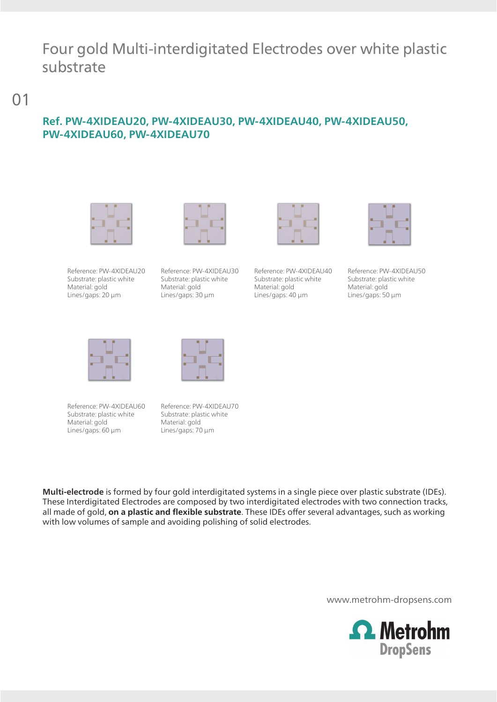## Four gold Multi-interdigitated Electrodes over white plastic substrate

01

## **Ref. PW-4XIDEAU20, PW-4XIDEAU30, PW-4XIDEAU40, PW-4XIDEAU50, PW-4XIDEAU60, PW-4XIDEAU70**



Reference: PW-4XIDEAU20 Substrate: plastic white Material: gold Lines/gaps: 20 µm



Reference: PW-4XIDEAU30 Substrate: plastic white Material: gold Lines/gaps: 30 µm



Reference: PW-4XIDEAU40 Substrate: plastic white Material: gold Lines/gaps: 40 µm



Reference: PW-4XIDEAU50 Substrate: plastic white Material: gold Lines/gaps: 50 µm



Reference: PW-4XIDEAU60 Substrate: plastic white Material: gold Lines/gaps: 60 µm



Reference: PW-4XIDEAU70 Substrate: plastic white Material: gold Lines/gaps: 70 µm

**Multi-electrode** is formed by four gold interdigitated systems in a single piece over plastic substrate (IDEs). These Interdigitated Electrodes are composed by two interdigitated electrodes with two connection tracks, all made of gold, **on a plastic and flexible substrate**. These IDEs offer several advantages, such as working with low volumes of sample and avoiding polishing of solid electrodes.

www.metrohm-dropsens.com